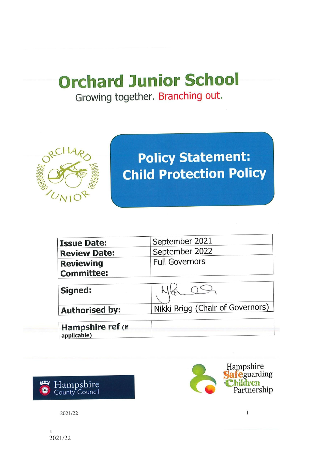# **Orchard Junior School**

Growing together. Branching out.



# **Policy Statement: Child Protection Policy**

| <b>Issue Date:</b>               | September 2021                   |
|----------------------------------|----------------------------------|
| <b>Review Date:</b>              | September 2022                   |
| <b>Reviewing</b>                 | <b>Full Governors</b>            |
| <b>Committee:</b>                |                                  |
| Signed:                          |                                  |
| <b>Authorised by:</b>            | Nikki Brigg (Chair of Governors) |
| Hampshire ref (if<br>applicable) |                                  |





2021/22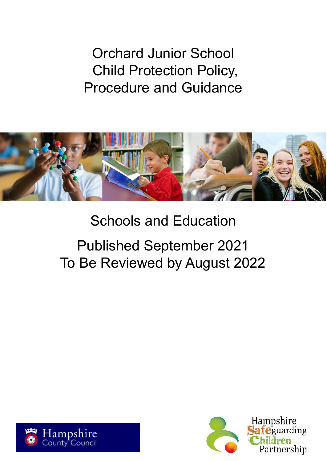Orchard Junior School Child Protection Policy, Procedure and Guidance



## Schools and Education

## Published September 2021 To Be Reviewed by August 2022



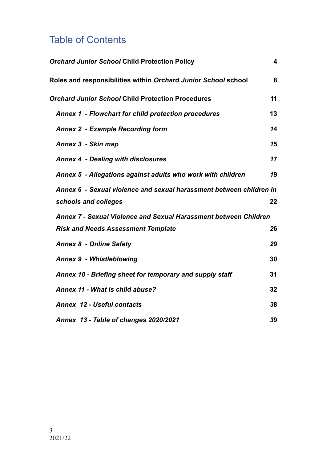## Table of Contents

| <b>Orchard Junior School Child Protection Policy</b>                | 4  |
|---------------------------------------------------------------------|----|
| Roles and responsibilities within Orchard Junior School school      | 8  |
| <b>Orchard Junior School Child Protection Procedures</b>            | 11 |
| Annex 1 - Flowchart for child protection procedures                 | 13 |
| <b>Annex 2 - Example Recording form</b>                             | 14 |
| Annex 3 - Skin map                                                  | 15 |
| <b>Annex 4 - Dealing with disclosures</b>                           | 17 |
| Annex 5 - Allegations against adults who work with children         | 19 |
| Annex 6 - Sexual violence and sexual harassment between children in |    |
| schools and colleges                                                | 22 |
| Annex 7 - Sexual Violence and Sexual Harassment between Children    |    |
| <b>Risk and Needs Assessment Template</b>                           | 26 |
| <b>Annex 8 - Online Safety</b>                                      | 29 |
| <b>Annex 9 - Whistleblowing</b>                                     | 30 |
| Annex 10 - Briefing sheet for temporary and supply staff            | 31 |
| Annex 11 - What is child abuse?                                     | 32 |
| <b>Annex 12 - Useful contacts</b>                                   | 38 |
| Annex 13 - Table of changes 2020/2021                               | 39 |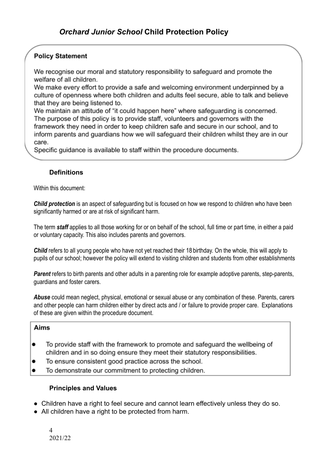## <span id="page-3-0"></span>**Policy Statement**

We recognise our moral and statutory responsibility to safeguard and promote the welfare of all children.

We make every effort to provide a safe and welcoming environment underpinned by a culture of openness where both children and adults feel secure, able to talk and believe that they are being listened to.

We maintain an attitude of "it could happen here" where safeguarding is concerned. The purpose of this policy is to provide staff, volunteers and governors with the framework they need in order to keep children safe and secure in our school, and to inform parents and guardians how we will safeguard their children whilst they are in our care.

Specific guidance is available to staff within the procedure documents.

## **Definitions**

Within this document:

*Child protection* is an aspect of safeguarding but is focused on how we respond to children who have been significantly harmed or are at risk of significant harm.

The term *staff* applies to all those working for or on behalf of the school, full time or part time, in either a paid or voluntary capacity. This also includes parents and governors.

*Child* refers to all young people who have not yet reached their 18 birthday. On the whole, this will apply to pupils of our school; however the policy will extend to visiting children and students from other establishments

*Parent* refers to birth parents and other adults in a parenting role for example adoptive parents, step-parents, guardians and foster carers.

*Abuse* could mean neglect, physical, emotional or sexual abuse or any combination of these. Parents, carers and other people can harm children either by direct acts and / or failure to provide proper care. Explanations of these are given within the procedure document.

## Aims

- To provide staff with the framework to promote and safeguard the wellbeing of  $\bullet$ children and in so doing ensure they meet their statutory responsibilities.
- To ensure consistent good practice across the school.
- To demonstrate our commitment to protecting children.  $\bullet$

## **Principles and Values**

- Children have a right to feel secure and cannot learn effectively unless they do so.
- All children have a right to be protected from harm.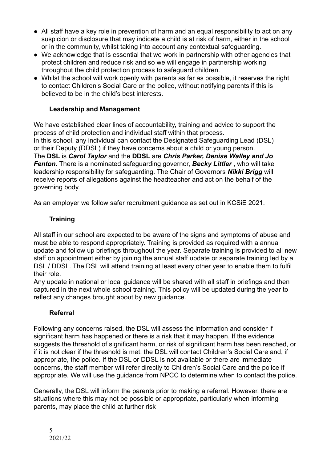- All staff have a key role in prevention of harm and an equal responsibility to act on any suspicion or disclosure that may indicate a child is at risk of harm, either in the school or in the community, whilst taking into account any contextual safeguarding.
- We acknowledge that is essential that we work in partnership with other agencies that protect children and reduce risk and so we will engage in partnership working throughout the child protection process to safeguard children.
- Whilst the school will work openly with parents as far as possible, it reserves the right to contact Children's Social Care or the police, without notifying parents if this is believed to be in the child's best interests.

## **Leadership and Management**

We have established clear lines of accountability, training and advice to support the process of child protection and individual staff within that process. In this school, any individual can contact the Designated Safeguarding Lead (DSL) or their Deputy (DDSL) if they have concerns about a child or young person. The **DSL** is *Carol Taylor* and the **DDSL** are *Chris Parker, Denise Walley and Jo Fenton.* There is a nominated safeguarding governor, *Becky Littler* , who will take leadership responsibility for safeguarding. The Chair of Governors *Nikki Brigg* will receive reports of allegations against the headteacher and act on the behalf of the governing body.

As an employer we follow safer recruitment guidance as set out in KCSiE 2021.

## **Training**

All staff in our school are expected to be aware of the signs and symptoms of abuse and must be able to respond appropriately. Training is provided as required with a annual update and follow up briefings throughout the year. Separate training is provided to all new staff on appointment either by joining the annual staff update or separate training led by a DSL / DDSL. The DSL will attend training at least every other year to enable them to fulfil their role.

Any update in national or local guidance will be shared with all staff in briefings and then captured in the next whole school training. This policy will be updated during the year to reflect any changes brought about by new guidance.

## **Referral**

Following any concerns raised, the DSL will assess the information and consider if significant harm has happened or there is a risk that it may happen. If the evidence suggests the threshold of significant harm, or risk of significant harm has been reached, or if it is not clear if the threshold is met, the DSL will contact Children's Social Care and, if appropriate, the police. If the DSL or DDSL is not available or there are immediate concerns, the staff member will refer directly to Children's Social Care and the police if appropriate. We will use the guidance from NPCC to determine when to contact the police.

Generally, the DSL will inform the parents prior to making a referral. However, there are situations where this may not be possible or appropriate, particularly when informing parents, may place the child at further risk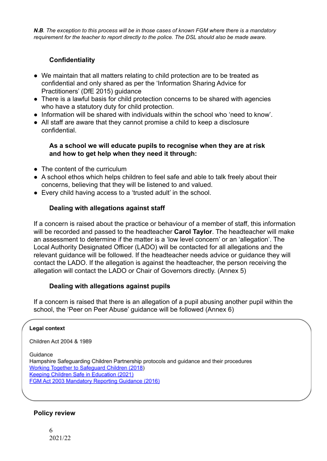N.B. The exception to this process will be in those cases of known FGM where there is a mandatory *requirement for the teacher to report directly to the police. The DSL should also be made aware.*

## **Confidentiality**

- We maintain that all matters relating to child protection are to be treated as confidential and only shared as per the 'Information Sharing Advice for Practitioners' (DfE 2015) guidance
- There is a lawful basis for child protection concerns to be shared with agencies who have a statutory duty for child protection.
- Information will be shared with individuals within the school who 'need to know'.
- All staff are aware that they cannot promise a child to keep a disclosure confidential.

#### **As a school we will educate pupils to recognise when they are at risk and how to get help when they need it through:**

- The content of the curriculum
- A school ethos which helps children to feel safe and able to talk freely about their concerns, believing that they will be listened to and valued.
- Every child having access to a 'trusted adult' in the school.

## **Dealing with allegations against staff**

If a concern is raised about the practice or behaviour of a member of staff, this information will be recorded and passed to the headteacher **Carol Taylor**. The headteacher will make an assessment to determine if the matter is a 'low level concern' or an 'allegation'. The Local Authority Designated Officer (LADO) will be contacted for all allegations and the relevant guidance will be followed. If the headteacher needs advice or guidance they will contact the LADO. If the allegation is against the headteacher, the person receiving the allegation will contact the LADO or Chair of Governors directly. (Annex 5)

## **Dealing with allegations against pupils**

If a concern is raised that there is an allegation of a pupil abusing another pupil within the school, the 'Peer on Peer Abuse' guidance will be followed (Annex 6)

#### **Legal context**

Children Act 2004 & 1989

Guidance

Hampshire Safeguarding Children Partnership protocols and guidance and their procedures **Working Together to Safeguard Children (2018)** Keeping Children Safe in Education (2021) FGM Act 2003 Mandatory Reporting Guidance (2016)

#### **Policy review**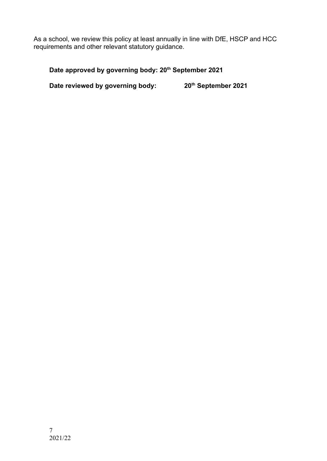As a school, we review this policy at least annually in line with DfE, HSCP and HCC requirements and other relevant statutory guidance.

## **Date approved by governing body: 20th September 2021**

**Date reviewed by governing body: 20th September 2021**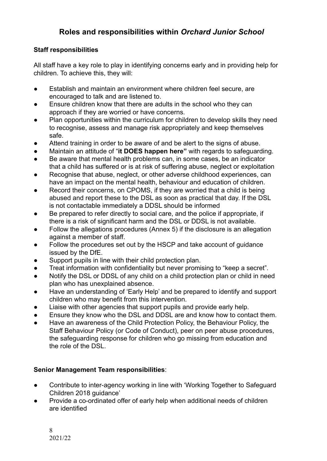## <span id="page-7-0"></span>**Roles and responsibilities within** *Orchard Junior School*

## **Staff responsibilities**

All staff have a key role to play in identifying concerns early and in providing help for children. To achieve this, they will:

- Establish and maintain an environment where children feel secure, are encouraged to talk and are listened to.
- Ensure children know that there are adults in the school who they can approach if they are worried or have concerns.
- **●** Plan opportunities within the curriculum for children to develop skills they need to recognise, assess and manage risk appropriately and keep themselves safe.
- Attend training in order to be aware of and be alert to the signs of abuse.
- **●** Maintain an attitude of "**it DOES happen here"** with regards to safeguarding.
- Be aware that mental health problems can, in some cases, be an indicator that a child has suffered or is at risk of suffering abuse, neglect or exploitation
- Recognise that abuse, neglect, or other adverse childhood experiences, can have an impact on the mental health, behaviour and education of children.
- Record their concerns, on CPOMS, if they are worried that a child is being abused and report these to the DSL as soon as practical that day. If the DSL is not contactable immediately a DDSL should be informed
- Be prepared to refer directly to social care, and the police if appropriate, if there is a risk of significant harm and the DSL or DDSL is not available.
- Follow the allegations procedures (Annex 5) if the disclosure is an allegation against a member of staff.
- Follow the procedures set out by the HSCP and take account of guidance issued by the DfE.
- Support pupils in line with their child protection plan.
- Treat information with confidentiality but never promising to "keep a secret".
- Notify the DSL or DDSL of any child on a child protection plan or child in need plan who has unexplained absence.
- Have an understanding of 'Early Help' and be prepared to identify and support children who may benefit from this intervention.
- Liaise with other agencies that support pupils and provide early help.
- Ensure they know who the DSL and DDSL are and know how to contact them.
- Have an awareness of the Child Protection Policy, the Behaviour Policy, the Staff Behaviour Policy (or Code of Conduct), peer on peer abuse procedures, the safeguarding response for children who go missing from education and the role of the DSL.

## **Senior Management Team responsibilities**:

- Contribute to inter-agency working in line with 'Working Together to Safeguard Children 2018 guidance'
- Provide a co-ordinated offer of early help when additional needs of children are identified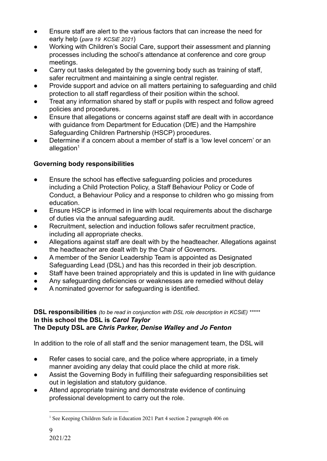- Ensure staff are alert to the various factors that can increase the need for early help (*para 19 KCSiE 2021*)
- Working with Children's Social Care, support their assessment and planning processes including the school's attendance at conference and core group meetings.
- Carry out tasks delegated by the governing body such as training of staff, safer recruitment and maintaining a single central register.
- Provide support and advice on all matters pertaining to safeguarding and child protection to all staff regardless of their position within the school.
- Treat any information shared by staff or pupils with respect and follow agreed policies and procedures.
- Ensure that allegations or concerns against staff are dealt with in accordance with guidance from Department for Education (DfE) and the Hampshire Safeguarding Children Partnership (HSCP) procedures.
- Determine if a concern about a member of staff is a 'low level concern' or an allegation $1$

## **Governing body responsibilities**

- Ensure the school has effective safeguarding policies and procedures including a Child Protection Policy, a Staff Behaviour Policy or Code of Conduct, a Behaviour Policy and a response to children who go missing from education.
- Ensure HSCP is informed in line with local requirements about the discharge of duties via the annual safeguarding audit.
- Recruitment, selection and induction follows safer recruitment practice, including all appropriate checks.
- Allegations against staff are dealt with by the headteacher. Allegations against the headteacher are dealt with by the Chair of Governors.
- A member of the Senior Leadership Team is appointed as Designated Safeguarding Lead (DSL) and has this recorded in their job description.
- Staff have been trained appropriately and this is updated in line with guidance
- Any safeguarding deficiencies or weaknesses are remedied without delay
- A nominated governor for safeguarding is identified.

#### **DSL responsibilities** *(to be read in conjunction with DSL role description in KCSiE) \*\*\*\*\** **In this school the DSL is** *Carol Taylor* **The Deputy DSL are** *Chris Parker, Denise Walley and Jo Fenton*

In addition to the role of all staff and the senior management team, the DSL will

- Refer cases to social care, and the police where appropriate, in a timely manner avoiding any delay that could place the child at more risk.
- Assist the Governing Body in fulfilling their safeguarding responsibilities set out in legislation and statutory guidance.
- Attend appropriate training and demonstrate evidence of continuing professional development to carry out the role.

<sup>&</sup>lt;sup>1</sup> See Keeping Children Safe in Education 2021 Part 4 section 2 paragraph 406 on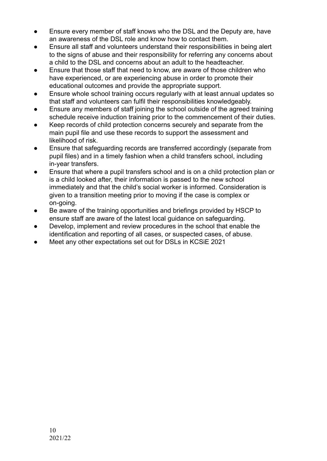- Ensure every member of staff knows who the DSL and the Deputy are, have an awareness of the DSL role and know how to contact them.
- Ensure all staff and volunteers understand their responsibilities in being alert to the signs of abuse and their responsibility for referring any concerns about a child to the DSL and concerns about an adult to the headteacher.
- Ensure that those staff that need to know, are aware of those children who have experienced, or are experiencing abuse in order to promote their educational outcomes and provide the appropriate support.
- Ensure whole school training occurs regularly with at least annual updates so that staff and volunteers can fulfil their responsibilities knowledgeably.
- Ensure any members of staff joining the school outside of the agreed training schedule receive induction training prior to the commencement of their duties.
- Keep records of child protection concerns securely and separate from the main pupil file and use these records to support the assessment and likelihood of risk.
- Ensure that safeguarding records are transferred accordingly (separate from pupil files) and in a timely fashion when a child transfers school, including in-year transfers.
- Ensure that where a pupil transfers school and is on a child protection plan or is a child looked after, their information is passed to the new school immediately and that the child's social worker is informed. Consideration is given to a transition meeting prior to moving if the case is complex or on-going.
- Be aware of the training opportunities and briefings provided by HSCP to ensure staff are aware of the latest local guidance on safeguarding.
- Develop, implement and review procedures in the school that enable the identification and reporting of all cases, or suspected cases, of abuse.
- Meet any other expectations set out for DSLs in KCSiE 2021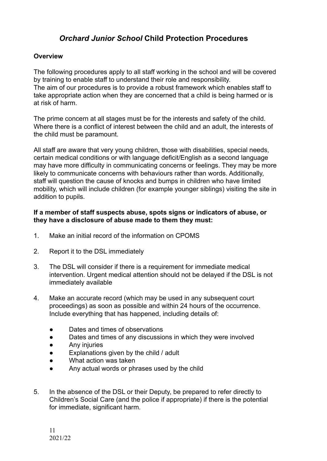## <span id="page-10-0"></span>*Orchard Junior School* **Child Protection Procedures**

#### **Overview**

The following procedures apply to all staff working in the school and will be covered by training to enable staff to understand their role and responsibility. The aim of our procedures is to provide a robust framework which enables staff to take appropriate action when they are concerned that a child is being harmed or is at risk of harm.

The prime concern at all stages must be for the interests and safety of the child. Where there is a conflict of interest between the child and an adult, the interests of the child must be paramount.

All staff are aware that very young children, those with disabilities, special needs, certain medical conditions or with language deficit/English as a second language may have more difficulty in communicating concerns or feelings. They may be more likely to communicate concerns with behaviours rather than words. Additionally, staff will question the cause of knocks and bumps in children who have limited mobility, which will include children (for example younger siblings) visiting the site in addition to pupils.

#### **If a member of staff suspects abuse, spots signs or indicators of abuse, or they have a disclosure of abuse made to them they must:**

- 1. Make an initial record of the information on CPOMS
- 2. Report it to the DSL immediately
- 3. The DSL will consider if there is a requirement for immediate medical intervention. Urgent medical attention should not be delayed if the DSL is not immediately available
- 4. Make an accurate record (which may be used in any subsequent court proceedings) as soon as possible and within 24 hours of the occurrence. Include everything that has happened, including details of:
	- Dates and times of observations
	- Dates and times of any discussions in which they were involved
	- Any injuries
	- Explanations given by the child / adult
	- What action was taken
	- Any actual words or phrases used by the child
- 5. In the absence of the DSL or their Deputy, be prepared to refer directly to Children's Social Care (and the police if appropriate) if there is the potential for immediate, significant harm.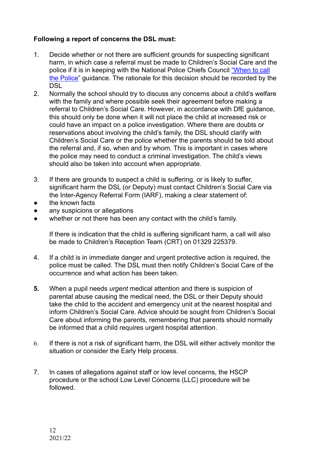## **Following a report of concerns the DSL must:**

- 1. Decide whether or not there are sufficient grounds for suspecting significant harm, in which case a referral must be made to Children's Social Care and the police if it is in keeping with the National Police Chiefs Council ["When to call](https://www.npcc.police.uk/documents/Children%20and%20Young%20people/When%20to%20call%20the%20police%20guidance%20for%20schools%20and%20colleges.pdf) [the Police"](https://www.npcc.police.uk/documents/Children%20and%20Young%20people/When%20to%20call%20the%20police%20guidance%20for%20schools%20and%20colleges.pdf) guidance. The rationale for this decision should be recorded by the DSL
- 2. Normally the school should try to discuss any concerns about a child's welfare with the family and where possible seek their agreement before making a referral to Children's Social Care. However, in accordance with DfE guidance, this should only be done when it will not place the child at increased risk or could have an impact on a police investigation. Where there are doubts or reservations about involving the child's family, the DSL should clarify with Children's Social Care or the police whether the parents should be told about the referral and, if so, when and by whom. This is important in cases where the police may need to conduct a criminal investigation. The child's views should also be taken into account when appropriate.
- 3. If there are grounds to suspect a child is suffering, or is likely to suffer, significant harm the DSL (or Deputy) must contact Children's Social Care via the Inter-Agency Referral Form (IARF), making a clear statement of:
- the known facts
- any suspicions or allegations
- whether or not there has been any contact with the child's family.

If there is indication that the child is suffering significant harm, a call will also be made to Children's Reception Team (CRT) on 01329 225379.

- 4. If a child is in immediate danger and urgent protective action is required, the police must be called. The DSL must then notify Children's Social Care of the occurrence and what action has been taken.
- **5.** When a pupil needs *urgent* medical attention and there is suspicion of parental abuse causing the medical need, the DSL or their Deputy should take the child to the accident and emergency unit at the nearest hospital and inform Children's Social Care. Advice should be sought from Children's Social Care about informing the parents, remembering that parents should normally be informed that a child requires urgent hospital attention.
- 6. If there is not a risk of significant harm, the DSL will either actively monitor the situation or consider the Early Help process.
- 7. In cases of allegations against staff or low level concerns, the HSCP procedure or the school Low Level Concerns (LLC) procedure will be followed.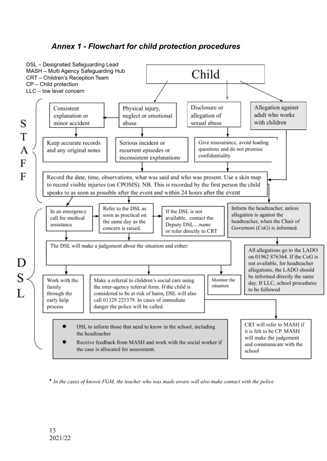## <span id="page-12-0"></span>*Annex 1 - Flowchart for child protection procedures*



\* In the cases of known FGM, the teacher who was made aware will also make contact with the police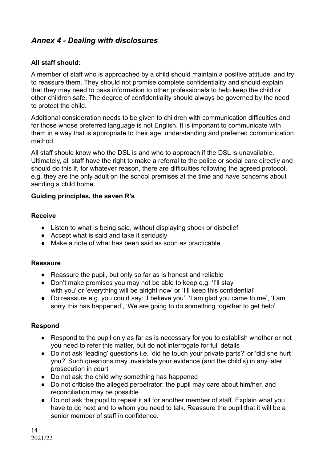## <span id="page-13-0"></span>*Annex 4 - Dealing with disclosures*

## **All staff should:**

A member of staff who is approached by a child should maintain a positive attitude and try to reassure them. They should not promise complete confidentiality and should explain that they may need to pass information to other professionals to help keep the child or other children safe. The degree of confidentiality should always be governed by the need to protect the child.

Additional consideration needs to be given to children with communication difficulties and for those whose preferred language is not English. It is important to communicate with them in a way that is appropriate to their age, understanding and preferred communication method.

All staff should know who the DSL is and who to approach if the DSL is unavailable. Ultimately, all staff have the right to make a referral to the police or social care directly and should do this if, for whatever reason, there are difficulties following the agreed protocol, e.g. they are the only adult on the school premises at the time and have concerns about sending a child home.

## **Guiding principles, the seven R's**

## **Receive**

- Listen to what is being said, without displaying shock or disbelief
- Accept what is said and take it seriously
- Make a note of what has been said as soon as practicable

## **Reassure**

- Reassure the pupil, but only so far as is honest and reliable
- Don't make promises you may not be able to keep e.g. 'I'll stay with you' or 'everything will be alright now' or 'I'll keep this confidential'
- Do reassure e.g. you could say: 'I believe you', 'I am glad you came to me', 'I am sorry this has happened', 'We are going to do something together to get help'

## **Respond**

- Respond to the pupil only as far as is necessary for you to establish whether or not you need to refer this matter, but do not interrogate for full details
- Do not ask 'leading' questions i.e. 'did he touch your private parts?' or 'did she hurt you?' Such questions may invalidate your evidence (and the child's) in any later prosecution in court
- Do not ask the child why something has happened
- Do not criticise the alleged perpetrator; the pupil may care about him/her, and reconciliation may be possible
- Do not ask the pupil to repeat it all for another member of staff. Explain what you have to do next and to whom you need to talk. Reassure the pupil that it will be a senior member of staff in confidence.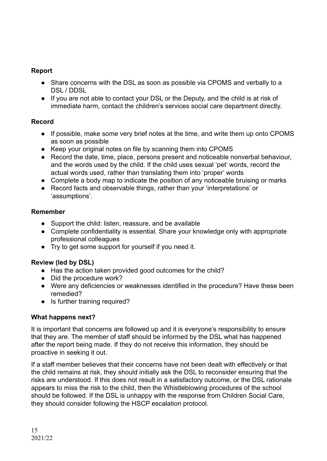## **Report**

- Share concerns with the DSL as soon as possible via CPOMS and verbally to a DSL / DDSL
- If you are not able to contact your DSL or the Deputy, and the child is at risk of immediate harm, contact the children's services social care department directly.

## **Record**

- If possible, make some very brief notes at the time, and write them up onto CPOMS as soon as possible
- Keep your original notes on file by scanning them into CPOMS
- Record the date, time, place, persons present and noticeable nonverbal behaviour, and the words used by the child. If the child uses sexual 'pet' words, record the actual words used, rather than translating them into 'proper' words
- Complete a body map to indicate the position of any noticeable bruising or marks
- Record facts and observable things, rather than your 'interpretations' or 'assumptions'.

## **Remember**

- Support the child: listen, reassure, and be available
- Complete confidentiality is essential. Share your knowledge only with appropriate professional colleagues
- Try to get some support for yourself if you need it.

## **Review (led by DSL)**

- Has the action taken provided good outcomes for the child?
- Did the procedure work?
- Were any deficiencies or weaknesses identified in the procedure? Have these been remedied?
- Is further training required?

## **What happens next?**

It is important that concerns are followed up and it is everyone's responsibility to ensure that they are. The member of staff should be informed by the DSL what has happened after the report being made. If they do not receive this information, they should be proactive in seeking it out.

If a staff member believes that their concerns have not been dealt with effectively or that the child remains at risk, they should initially ask the DSL to reconsider ensuring that the risks are understood. If this does not result in a satisfactory outcome, or the DSL rationale appears to miss the risk to the child, then the Whistleblowing procedures of the school should be followed. If the DSL is unhappy with the response from Children Social Care, they should consider following the HSCP escalation protocol.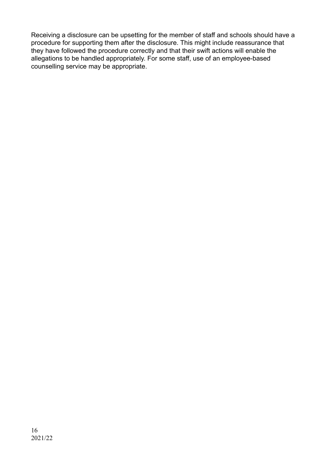Receiving a disclosure can be upsetting for the member of staff and schools should have a procedure for supporting them after the disclosure. This might include reassurance that they have followed the procedure correctly and that their swift actions will enable the allegations to be handled appropriately. For some staff, use of an employee-based counselling service may be appropriate.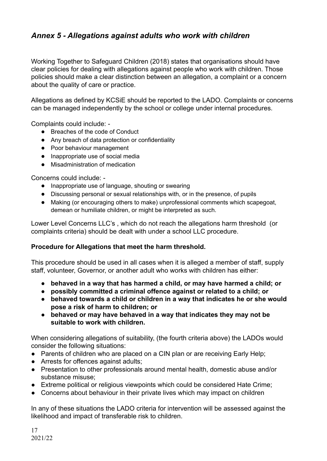## <span id="page-16-0"></span>*Annex 5 - Allegations against adults who work with children*

Working Together to Safeguard Children (2018) states that organisations should have clear policies for dealing with allegations against people who work with children. Those policies should make a clear distinction between an allegation, a complaint or a concern about the quality of care or practice.

Allegations as defined by KCSiE should be reported to the LADO. Complaints or concerns can be managed independently by the school or college under internal procedures.

Complaints could include: -

- **●** Breaches of the code of Conduct
- **●** Any breach of data protection or confidentiality
- **●** Poor behaviour management
- **●** Inappropriate use of social media
- **●** Misadministration of medication

Concerns could include: -

- **●** Inappropriate use of language, shouting or swearing
- **●** Discussing personal or sexual relationships with, or in the presence, of pupils
- **●** Making (or encouraging others to make) unprofessional comments which scapegoat, demean or humiliate children, or might be interpreted as such.

Lower Level Concerns LLC's , which do not reach the allegations harm threshold (or complaints criteria) should be dealt with under a school LLC procedure.

## **Procedure for Allegations that meet the harm threshold.**

This procedure should be used in all cases when it is alleged a member of staff, supply staff, volunteer, Governor, or another adult who works with children has either:

- **● behaved in a way that has harmed a child, or may have harmed a child; or**
- **● possibly committed a criminal offence against or related to a child; or**
- **● behaved towards a child or children in a way that indicates he or she would pose a risk of harm to children; or**
- **● behaved or may have behaved in a way that indicates they may not be suitable to work with children.**

When considering allegations of suitability, (the fourth criteria above) the LADOs would consider the following situations:

- Parents of children who are placed on a CIN plan or are receiving Early Help;
- Arrests for offences against adults;
- Presentation to other professionals around mental health, domestic abuse and/or substance misuse;
- Extreme political or religious viewpoints which could be considered Hate Crime;
- Concerns about behaviour in their private lives which may impact on children

In any of these situations the LADO criteria for intervention will be assessed against the likelihood and impact of transferable risk to children.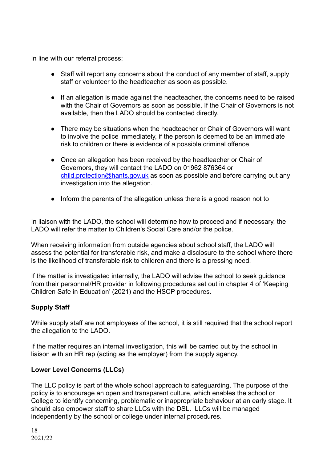In line with our referral process:

- Staff will report any concerns about the conduct of any member of staff, supply staff or volunteer to the headteacher as soon as possible.
- If an allegation is made against the headteacher, the concerns need to be raised with the Chair of Governors as soon as possible. If the Chair of Governors is not available, then the LADO should be contacted directly.
- There may be situations when the headteacher or Chair of Governors will want to involve the police immediately, if the person is deemed to be an immediate risk to children or there is evidence of a possible criminal offence.
- Once an allegation has been received by the headteacher or Chair of Governors, they will contact the LADO on 01962 876364 or [child.protection@hants.gov.uk](mailto:child.protection@hants.gov.uk) as soon as possible and before carrying out any investigation into the allegation.
- Inform the parents of the allegation unless there is a good reason not to

In liaison with the LADO, the school will determine how to proceed and if necessary, the LADO will refer the matter to Children's Social Care and/or the police.

When receiving information from outside agencies about school staff, the LADO will assess the potential for transferable risk, and make a disclosure to the school where there is the likelihood of transferable risk to children and there is a pressing need.

If the matter is investigated internally, the LADO will advise the school to seek guidance from their personnel/HR provider in following procedures set out in chapter 4 of 'Keeping Children Safe in Education' (2021) and the HSCP procedures.

## **Supply Staff**

While supply staff are not employees of the school, it is still required that the school report the allegation to the LADO.

If the matter requires an internal investigation, this will be carried out by the school in liaison with an HR rep (acting as the employer) from the supply agency.

## **Lower Level Concerns (LLCs)**

The LLC policy is part of the whole school approach to safeguarding. The purpose of the policy is to encourage an open and transparent culture, which enables the school or College to identify concerning, problematic or inappropriate behaviour at an early stage. It should also empower staff to share LLCs with the DSL. LLCs will be managed independently by the school or college under internal procedures.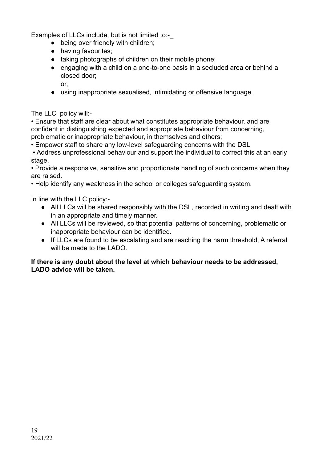Examples of LLCs include, but is not limited to:-

- being over friendly with children;
- having favourites;
- taking photographs of children on their mobile phone;
- engaging with a child on a one-to-one basis in a secluded area or behind a closed door;
	- or,
- using inappropriate sexualised, intimidating or offensive language.

The LLC policy will:-

• Ensure that staff are clear about what constitutes appropriate behaviour, and are confident in distinguishing expected and appropriate behaviour from concerning, problematic or inappropriate behaviour, in themselves and others;

• Empower staff to share any low-level safeguarding concerns with the DSL

• Address unprofessional behaviour and support the individual to correct this at an early stage.

• Provide a responsive, sensitive and proportionate handling of such concerns when they are raised.

• Help identify any weakness in the school or colleges safeguarding system.

In line with the LLC policy:-

- All LLCs will be shared responsibly with the DSL, recorded in writing and dealt with in an appropriate and timely manner.
- All LLCs will be reviewed, so that potential patterns of concerning, problematic or inappropriate behaviour can be identified.
- If LLCs are found to be escalating and are reaching the harm threshold, A referral will be made to the LADO.

**If there is any doubt about the level at which behaviour needs to be addressed, LADO advice will be taken.**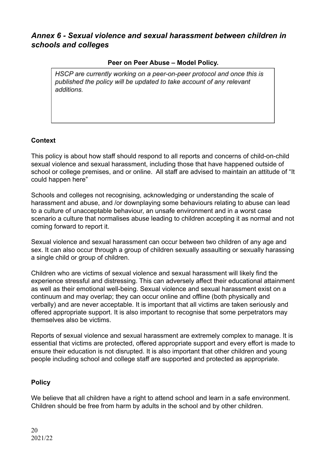## <span id="page-19-0"></span>*Annex 6 - Sexual violence and sexual harassment between children in schools and colleges*

## **Peer on Peer Abuse – Model Policy.**

HSCP are currently working on a peer-on-peer protocol and once this is published the policy will be updated to take account of any relevant additions

## **Context**

This policy is about how staff should respond to all reports and concerns of child-on-child sexual violence and sexual harassment, including those that have happened outside of school or college premises, and or online. All staff are advised to maintain an attitude of "It could happen here"

Schools and colleges not recognising, acknowledging or understanding the scale of harassment and abuse, and /or downplaying some behaviours relating to abuse can lead to a culture of unacceptable behaviour, an unsafe environment and in a worst case scenario a culture that normalises abuse leading to children accepting it as normal and not coming forward to report it.

Sexual violence and sexual harassment can occur between two children of any age and sex. It can also occur through a group of children sexually assaulting or sexually harassing a single child or group of children.

Children who are victims of sexual violence and sexual harassment will likely find the experience stressful and distressing. This can adversely affect their educational attainment as well as their emotional well-being. Sexual violence and sexual harassment exist on a continuum and may overlap; they can occur online and offline (both physically and verbally) and are never acceptable. It is important that all victims are taken seriously and offered appropriate support. It is also important to recognise that some perpetrators may themselves also be victims.

Reports of sexual violence and sexual harassment are extremely complex to manage. It is essential that victims are protected, offered appropriate support and every effort is made to ensure their education is not disrupted. It is also important that other children and young people including school and college staff are supported and protected as appropriate.

## **Policy**

We believe that all children have a right to attend school and learn in a safe environment. Children should be free from harm by adults in the school and by other children.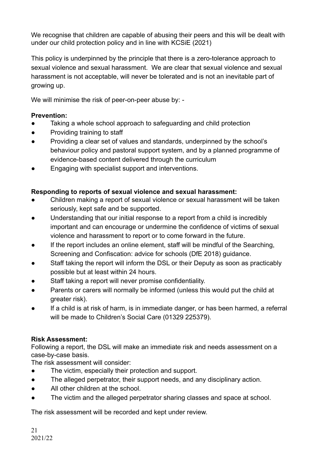We recognise that children are capable of abusing their peers and this will be dealt with under our child protection policy and in line with KCSiE (2021)

This policy is underpinned by the principle that there is a zero-tolerance approach to sexual violence and sexual harassment. We are clear that sexual violence and sexual harassment is not acceptable, will never be tolerated and is not an inevitable part of growing up.

We will minimise the risk of peer-on-peer abuse by: -

## **Prevention:**

- Taking a whole school approach to safeguarding and child protection
- Providing training to staff
- Providing a clear set of values and standards, underpinned by the school's behaviour policy and pastoral support system, and by a planned programme of evidence-based content delivered through the curriculum
- Engaging with specialist support and interventions.

## **Responding to reports of sexual violence and sexual harassment:**

- Children making a report of sexual violence or sexual harassment will be taken seriously, kept safe and be supported.
- Understanding that our initial response to a report from a child is incredibly important and can encourage or undermine the confidence of victims of sexual violence and harassment to report or to come forward in the future.
- If the report includes an online element, staff will be mindful of the Searching, Screening and Confiscation: advice for schools (DfE 2018) guidance.
- Staff taking the report will inform the DSL or their Deputy as soon as practicably possible but at least within 24 hours.
- Staff taking a report will never promise confidentiality.
- Parents or carers will normally be informed (unless this would put the child at greater risk).
- If a child is at risk of harm, is in immediate danger, or has been harmed, a referral will be made to Children's Social Care (01329 225379).

## **Risk Assessment:**

Following a report, the DSL will make an immediate risk and needs assessment on a case-by-case basis.

The risk assessment will consider:

- The victim, especially their protection and support.
- The alleged perpetrator, their support needs, and any disciplinary action.
- All other children at the school.
- The victim and the alleged perpetrator sharing classes and space at school.

The risk assessment will be recorded and kept under review.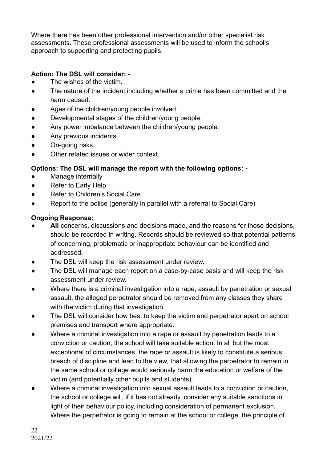Where there has been other professional intervention and/or other specialist risk assessments. These professional assessments will be used to inform the school's approach to supporting and protecting pupils.

## **Action: The DSL will consider: -**

- The wishes of the victim.
- The nature of the incident including whether a crime has been committed and the harm caused.
- Ages of the children/young people involved.
- Developmental stages of the children/young people.
- Any power imbalance between the children/young people.
- **•** Any previous incidents.
- On-going risks.
- Other related issues or wider context.

## **Options: The DSL will manage the report with the following options: -**

- Manage internally
- Refer to Early Help
- Refer to Children's Social Care
- Report to the police (generally in parallel with a referral to Social Care)

## **Ongoing Response:**

- All concerns, discussions and decisions made, and the reasons for those decisions, should be recorded in writing. Records should be reviewed so that potential patterns of concerning, problematic or inappropriate behaviour can be identified and addressed.
- The DSL will keep the risk assessment under review.
- The DSL will manage each report on a case-by-case basis and will keep the risk assessment under review.
- Where there is a criminal investigation into a rape, assault by penetration or sexual assault, the alleged perpetrator should be removed from any classes they share with the victim during that investigation.
- The DSL will consider how best to keep the victim and perpetrator apart on school premises and transport where appropriate.
- Where a criminal investigation into a rape or assault by penetration leads to a conviction or caution, the school will take suitable action. In all but the most exceptional of circumstances, the rape or assault is likely to constitute a serious breach of discipline and lead to the view, that allowing the perpetrator to remain in the same school or college would seriously harm the education or welfare of the victim (and potentially other pupils and students).
- Where a criminal investigation into sexual assault leads to a conviction or caution, the school or college will, if it has not already, consider any suitable sanctions in light of their behaviour policy, including consideration of permanent exclusion. Where the perpetrator is going to remain at the school or college, the principle of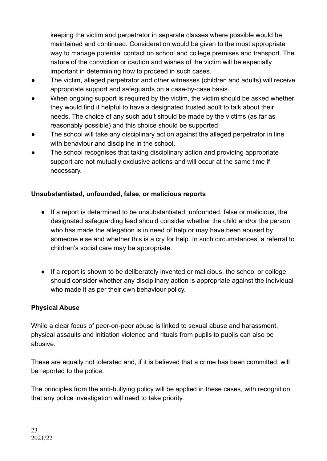keeping the victim and perpetrator in separate classes where possible would be maintained and continued. Consideration would be given to the most appropriate way to manage potential contact on school and college premises and transport. The nature of the conviction or caution and wishes of the victim will be especially important in determining how to proceed in such cases.

- The victim, alleged perpetrator and other witnesses (children and adults) will receive appropriate support and safeguards on a case-by-case basis.
- When ongoing support is required by the victim, the victim should be asked whether they would find it helpful to have a designated trusted adult to talk about their needs. The choice of any such adult should be made by the victims (as far as reasonably possible) and this choice should be supported.
- The school will take any disciplinary action against the alleged perpetrator in line with behaviour and discipline in the school.
- The school recognises that taking disciplinary action and providing appropriate support are not mutually exclusive actions and will occur at the same time if necessary.

## **Unsubstantiated, unfounded, false, or malicious reports**

- If a report is determined to be unsubstantiated, unfounded, false or malicious, the designated safeguarding lead should consider whether the child and/or the person who has made the allegation is in need of help or may have been abused by someone else and whether this is a cry for help. In such circumstances, a referral to children's social care may be appropriate.
- If a report is shown to be deliberately invented or malicious, the school or college, should consider whether any disciplinary action is appropriate against the individual who made it as per their own behaviour policy.

## **Physical Abuse**

While a clear focus of peer-on-peer abuse is linked to sexual abuse and harassment, physical assaults and initiation violence and rituals from pupils to pupils can also be abusive.

These are equally not tolerated and, if it is believed that a crime has been committed, will be reported to the police.

The principles from the anti-bullying policy will be applied in these cases, with recognition that any police investigation will need to take priority.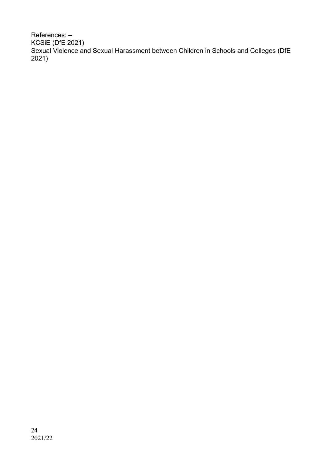References: – KCSiE (DfE 2021) Sexual Violence and Sexual Harassment between Children in Schools and Colleges (DfE 2021)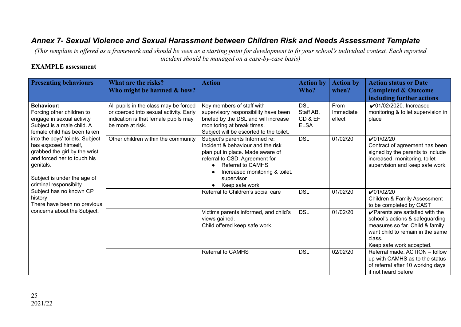## *Annex 7- Sexual Violence and Sexual Harassment between Children Risk and Needs Assessment Template*

*(This template is offered as a framework and should be seen as a starting point for development to fit your school's individual context. Each reported incident should be managed on a case-by-case basis)*

## **EXAMPLE assessment**

<span id="page-24-0"></span>

| <b>Presenting behaviours</b>                                                                                                                                                                                                                                                                                                                                                                                                             | What are the risks?<br>Who might be harmed & how?                                                                                           | <b>Action</b>                                                                                                                                                                                                                            | <b>Action by</b><br>Who?                          | <b>Action by</b><br>when?   | <b>Action status or Date</b><br><b>Completed &amp; Outcome</b><br>including further actions                                                                                                         |
|------------------------------------------------------------------------------------------------------------------------------------------------------------------------------------------------------------------------------------------------------------------------------------------------------------------------------------------------------------------------------------------------------------------------------------------|---------------------------------------------------------------------------------------------------------------------------------------------|------------------------------------------------------------------------------------------------------------------------------------------------------------------------------------------------------------------------------------------|---------------------------------------------------|-----------------------------|-----------------------------------------------------------------------------------------------------------------------------------------------------------------------------------------------------|
| Behaviour:<br>Forcing other children to<br>engage in sexual activity.<br>Subject is a male child. A<br>female child has been taken<br>into the boys' toilets. Subject<br>has exposed himself,<br>grabbed the girl by the wrist<br>and forced her to touch his<br>genitals.<br>Subject is under the age of<br>criminal responsibilty.<br>Subject has no known CP<br>history<br>There have been no previous<br>concerns about the Subject. | All pupils in the class may be forced<br>or coerced into sexual activity. Early<br>indication is that female pupils may<br>be more at risk. | Key members of staff with<br>supervisory responsibility have been<br>briefed by the DSL and will increase<br>monitoring at break times.<br>Subject will be escorted to the toilet.                                                       | <b>DSL</b><br>Staff AB,<br>CD & EF<br><b>ELSA</b> | From<br>Immediate<br>effect | ✔01/02/2020. Increased<br>monitoring & toilet supervision in<br>place                                                                                                                               |
|                                                                                                                                                                                                                                                                                                                                                                                                                                          | Other children within the community                                                                                                         | Subject's parents Informed re:<br>Incident & behaviour and the risk<br>plan put in place. Made aware of<br>referral to CSD. Agreement for<br><b>Referral to CAMHS</b><br>Increased monitoring & toilet.<br>supervisor<br>Keep safe work. | <b>DSL</b>                                        | 01/02/20                    | V01/02/20<br>Contract of agreement has been<br>signed by the parents to include<br>increased. monitoring, toilet<br>supervision and keep safe work.                                                 |
|                                                                                                                                                                                                                                                                                                                                                                                                                                          |                                                                                                                                             | Referral to Children's social care                                                                                                                                                                                                       | <b>DSL</b>                                        | 01/02/20                    | V01/02/20<br><b>Children &amp; Family Assessment</b><br>to be completed by CAST                                                                                                                     |
|                                                                                                                                                                                                                                                                                                                                                                                                                                          |                                                                                                                                             | Victims parents informed, and child's<br>views gained.<br>Child offered keep safe work.                                                                                                                                                  | <b>DSL</b>                                        | 01/02/20                    | $\sqrt{\frac{1}{1}}$ Parents are satisfied with the<br>school's actions & safeguarding<br>measures so far. Child & family<br>want child to remain in the same<br>class.<br>Keep safe work accepted. |
|                                                                                                                                                                                                                                                                                                                                                                                                                                          |                                                                                                                                             | <b>Referral to CAMHS</b>                                                                                                                                                                                                                 | <b>DSL</b>                                        | 02/02/20                    | Referral made. ACTION - follow<br>up with CAMHS as to the status<br>of referral after 10 working days<br>if not heard before                                                                        |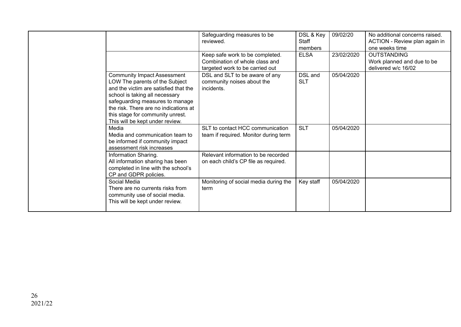|                                                                                                                                                                                                                                                                                                    | Safeguarding measures to be<br>reviewed.                                                             | DSL & Key<br>Staff<br>members | 09/02/20   | No additional concerns raised.<br>ACTION - Review plan again in<br>one weeks time |
|----------------------------------------------------------------------------------------------------------------------------------------------------------------------------------------------------------------------------------------------------------------------------------------------------|------------------------------------------------------------------------------------------------------|-------------------------------|------------|-----------------------------------------------------------------------------------|
|                                                                                                                                                                                                                                                                                                    | Keep safe work to be completed.<br>Combination of whole class and<br>targeted work to be carried out | <b>ELSA</b>                   | 23/02/2020 | <b>OUTSTANDING</b><br>Work planned and due to be<br>delivered w/c 16/02           |
| <b>Community Impact Assessment</b><br>LOW The parents of the Subject<br>and the victim are satisfied that the<br>school is taking all necessary<br>safeguarding measures to manage<br>the risk. There are no indications at<br>this stage for community unrest.<br>This will be kept under review. | DSL and SLT to be aware of any<br>community noises about the<br>incidents.                           | DSL and<br><b>SLT</b>         | 05/04/2020 |                                                                                   |
| Media<br>Media and communication team to<br>be informed if community impact<br>assessment risk increases                                                                                                                                                                                           | SLT to contact HCC communication<br>team if required. Monitor during term                            | <b>SLT</b>                    | 05/04/2020 |                                                                                   |
| Information Sharing.<br>All information sharing has been<br>completed in line with the school's<br>CP and GDPR policies.                                                                                                                                                                           | Relevant information to be recorded<br>on each child's CP file as required.                          |                               |            |                                                                                   |
| Social Media<br>There are no currents risks from<br>community use of social media.<br>This will be kept under review.                                                                                                                                                                              | Monitoring of social media during the<br>term                                                        | Key staff                     | 05/04/2020 |                                                                                   |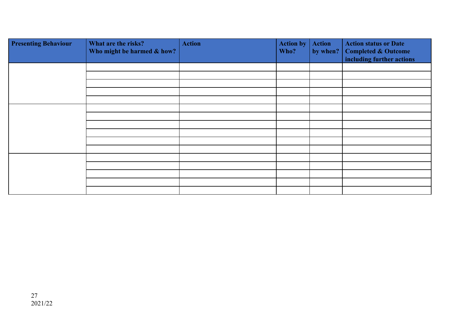| <b>Presenting Behaviour</b> | What are the risks?<br>Who might be harmed & how? | <b>Action</b> | <b>Action by</b><br>Who? | <b>Action</b><br>by when? $\vert$ | <b>Action status or Date</b><br><b>Completed &amp; Outcome</b><br>including further actions |
|-----------------------------|---------------------------------------------------|---------------|--------------------------|-----------------------------------|---------------------------------------------------------------------------------------------|
|                             |                                                   |               |                          |                                   |                                                                                             |
|                             |                                                   |               |                          |                                   |                                                                                             |
|                             |                                                   |               |                          |                                   |                                                                                             |
|                             |                                                   |               |                          |                                   |                                                                                             |
|                             |                                                   |               |                          |                                   |                                                                                             |
|                             |                                                   |               |                          |                                   |                                                                                             |
|                             |                                                   |               |                          |                                   |                                                                                             |
|                             |                                                   |               |                          |                                   |                                                                                             |
|                             |                                                   |               |                          |                                   |                                                                                             |
|                             |                                                   |               |                          |                                   |                                                                                             |
|                             |                                                   |               |                          |                                   |                                                                                             |
|                             |                                                   |               |                          |                                   |                                                                                             |
|                             |                                                   |               |                          |                                   |                                                                                             |
|                             |                                                   |               |                          |                                   |                                                                                             |
|                             |                                                   |               |                          |                                   |                                                                                             |
|                             |                                                   |               |                          |                                   |                                                                                             |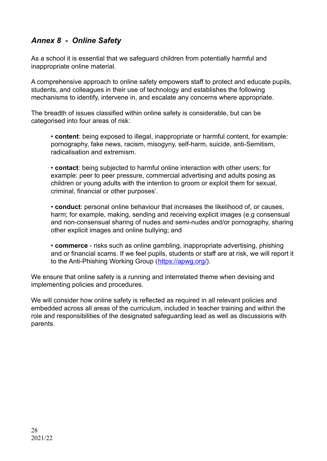## <span id="page-27-0"></span>*Annex 8 - Online Safety*

As a school it is essential that we safeguard children from potentially harmful and inappropriate online material.

A comprehensive approach to online safety empowers staff to protect and educate pupils, students, and colleagues in their use of technology and establishes the following mechanisms to identify, intervene in, and escalate any concerns where appropriate.

The breadth of issues classified within online safety is considerable, but can be categorised into four areas of risk:

• **content**: being exposed to illegal, inappropriate or harmful content, for example: pornography, fake news, racism, misogyny, self-harm, suicide, anti-Semitism, radicalisation and extremism.

• **contact**: being subjected to harmful online interaction with other users; for example: peer to peer pressure, commercial advertising and adults posing as children or young adults with the intention to groom or exploit them for sexual, criminal, financial or other purposes'.

• **conduct**: personal online behaviour that increases the likelihood of, or causes, harm; for example, making, sending and receiving explicit images (e.g consensual and non-consensual sharing of nudes and semi-nudes and/or pornography, sharing other explicit images and online bullying; and

• **commerce** - risks such as online gambling, inappropriate advertising, phishing and or financial scams. If we feel pupils, students or staff are at risk, we will report it to the Anti-Phishing Working Group ([https://apwg.org/\)](https://apwg.org/).

We ensure that online safety is a running and interrelated theme when devising and implementing policies and procedures.

We will consider how online safety is reflected as required in all relevant policies and embedded across all areas of the curriculum, included in teacher training and within the role and responsibilities of the designated safeguarding lead as well as discussions with parents.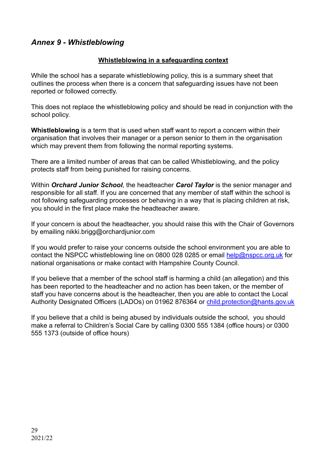## <span id="page-28-0"></span>*Annex 9 - Whistleblowing*

#### **Whistleblowing in a safeguarding context**

While the school has a separate whistleblowing policy, this is a summary sheet that outlines the process when there is a concern that safeguarding issues have not been reported or followed correctly.

This does not replace the whistleblowing policy and should be read in conjunction with the school policy.

**Whistleblowing** is a term that is used when staff want to report a concern within their organisation that involves their manager or a person senior to them in the organisation which may prevent them from following the normal reporting systems.

There are a limited number of areas that can be called Whistleblowing, and the policy protects staff from being punished for raising concerns.

Within *Orchard Junior School*, the headteacher *Carol Taylor* is the senior manager and responsible for all staff. If you are concerned that any member of staff within the school is not following safeguarding processes or behaving in a way that is placing children at risk, you should in the first place make the headteacher aware.

If your concern is about the headteacher, you should raise this with the Chair of Governors by emailing nikki.brigg@orchardjunior.com

If you would prefer to raise your concerns outside the school environment you are able to contact the NSPCC whistleblowing line on 0800 028 0285 or email [help@nspcc.org.uk](mailto:help@nspcc.org.uk) for national organisations or make contact with Hampshire County Council.

If you believe that a member of the school staff is harming a child (an allegation) and this has been reported to the headteacher and no action has been taken, or the member of staff you have concerns about is the headteacher, then you are able to contact the Local Authority Designated Officers (LADOs) on 01962 876364 or [child.protection@hants.gov.uk](mailto:child.protection@hants.gov.uk)

If you believe that a child is being abused by individuals outside the school, you should make a referral to Children's Social Care by calling 0300 555 1384 (office hours) or 0300 555 1373 (outside of office hours)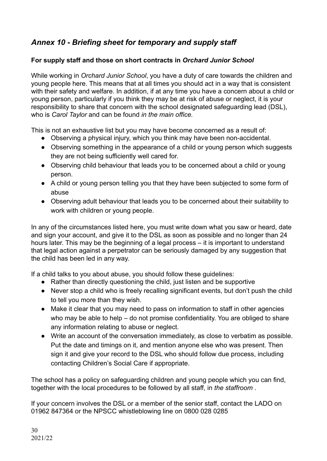## <span id="page-29-0"></span>*Annex 10 - Briefing sheet for temporary and supply staff*

## **For supply staff and those on short contracts in** *Orchard Junior School*

While working in *Orchard Junior School*, you have a duty of care towards the children and young people here. This means that at all times you should act in a way that is consistent with their safety and welfare. In addition, if at any time you have a concern about a child or young person, particularly if you think they may be at risk of abuse or neglect, it is your responsibility to share that concern with the school designated safeguarding lead (DSL), who is *Carol Taylor* and can be found *in the main office.*

This is not an exhaustive list but you may have become concerned as a result of:

- Observing a physical injury, which you think may have been non-accidental.
- Observing something in the appearance of a child or young person which suggests they are not being sufficiently well cared for.
- Observing child behaviour that leads you to be concerned about a child or young person.
- A child or young person telling you that they have been subjected to some form of abuse
- Observing adult behaviour that leads you to be concerned about their suitability to work with children or young people.

In any of the circumstances listed here, you must write down what you saw or heard, date and sign your account, and give it to the DSL as soon as possible and no longer than 24 hours later. This may be the beginning of a legal process – it is important to understand that legal action against a perpetrator can be seriously damaged by any suggestion that the child has been led in any way.

If a child talks to you about abuse, you should follow these guidelines:

- Rather than directly questioning the child, just listen and be supportive
- Never stop a child who is freely recalling significant events, but don't push the child to tell you more than they wish.
- Make it clear that you may need to pass on information to staff in other agencies who may be able to help – do not promise confidentiality. You are obliged to share any information relating to abuse or neglect.
- Write an account of the conversation immediately, as close to verbatim as possible. Put the date and timings on it, and mention anyone else who was present. Then sign it and give your record to the DSL who should follow due process, including contacting Children's Social Care if appropriate.

The school has a policy on safeguarding children and young people which you can find, together with the local procedures to be followed by all staff, in *the staffroom* .

If your concern involves the DSL or a member of the senior staff, contact the LADO on 01962 847364 or the NPSCC whistleblowing line on 0800 028 0285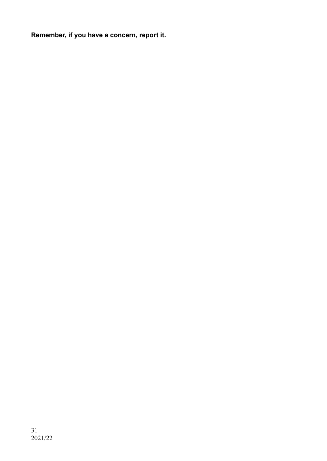**Remember, if you have a concern, report it.**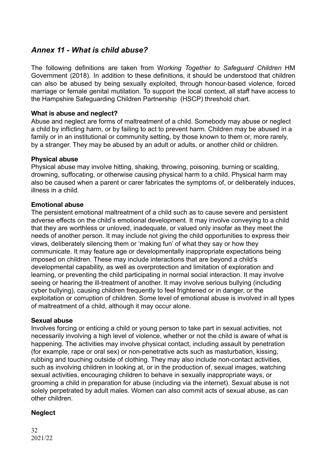## <span id="page-31-0"></span>*Annex 11 - What is child abuse?*

The following definitions are taken from W*orking Together to Safeguard Children* HM Government (2018). In addition to these definitions, it should be understood that children can also be abused by being sexually exploited, through honour-based violence, forced marriage or female genital mutilation. To support the local context, all staff have access to the Hampshire Safeguarding Children Partnership (HSCP) threshold chart.

#### **What is abuse and neglect?**

Abuse and neglect are forms of maltreatment of a child. Somebody may abuse or neglect a child by inflicting harm, or by failing to act to prevent harm. Children may be abused in a family or in an institutional or community setting, by those known to them or, more rarely, by a stranger. They may be abused by an adult or adults, or another child or children.

#### **Physical abuse**

Physical abuse may involve hitting, shaking, throwing, poisoning, burning or scalding, drowning, suffocating, or otherwise causing physical harm to a child. Physical harm may also be caused when a parent or carer fabricates the symptoms of, or deliberately induces, illness in a child.

#### **Emotional abuse**

The persistent emotional maltreatment of a child such as to cause severe and persistent adverse effects on the child's emotional development. It may involve conveying to a child that they are worthless or unloved, inadequate, or valued only insofar as they meet the needs of another person. It may include not giving the child opportunities to express their views, deliberately silencing them or 'making fun' of what they say or how they communicate. It may feature age or developmentally inappropriate expectations being imposed on children. These may include interactions that are beyond a child's developmental capability, as well as overprotection and limitation of exploration and learning, or preventing the child participating in normal social interaction. It may involve seeing or hearing the ill-treatment of another. It may involve serious bullying (including cyber bullying), causing children frequently to feel frightened or in danger, or the exploitation or corruption of children. Some level of emotional abuse is involved in all types of maltreatment of a child, although it may occur alone.

#### **Sexual abuse**

Involves forcing or enticing a child or young person to take part in sexual activities, not necessarily involving a high level of violence, whether or not the child is aware of what is happening. The activities may involve physical contact, including assault by penetration (for example, rape or oral sex) or non-penetrative acts such as masturbation, kissing, rubbing and touching outside of clothing. They may also include non-contact activities, such as involving children in looking at, or in the production of, sexual images, watching sexual activities, encouraging children to behave in sexually inappropriate ways, or grooming a child in preparation for abuse (including via the internet). Sexual abuse is not solely perpetrated by adult males. Women can also commit acts of sexual abuse, as can other children.

## **Neglect**

32 2021/22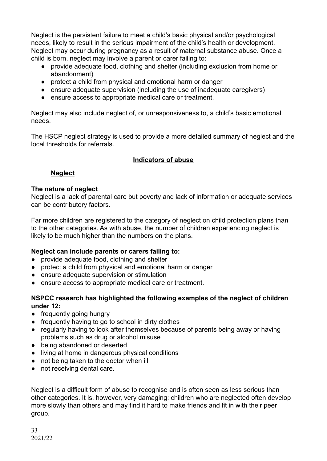Neglect is the persistent failure to meet a child's basic physical and/or psychological needs, likely to result in the serious impairment of the child's health or development. Neglect may occur during pregnancy as a result of maternal substance abuse. Once a child is born, neglect may involve a parent or carer failing to:

- provide adequate food, clothing and shelter (including exclusion from home or abandonment)
- protect a child from physical and emotional harm or danger
- ensure adequate supervision (including the use of inadequate caregivers)
- ensure access to appropriate medical care or treatment.

Neglect may also include neglect of, or unresponsiveness to, a child's basic emotional needs.

The HSCP neglect strategy is used to provide a more detailed summary of neglect and the local thresholds for referrals.

## **Indicators of abuse**

## **Neglect**

## **The nature of neglect**

Neglect is a lack of parental care but poverty and lack of information or adequate services can be contributory factors.

Far more children are registered to the category of neglect on child protection plans than to the other categories. As with abuse, the number of children experiencing neglect is likely to be much higher than the numbers on the plans.

## **Neglect can include parents or carers failing to:**

- provide adequate food, clothing and shelter
- protect a child from physical and emotional harm or danger
- ensure adequate supervision or stimulation
- ensure access to appropriate medical care or treatment.

## **NSPCC research has highlighted the following examples of the neglect of children under 12:**

- frequently going hungry
- frequently having to go to school in dirty clothes
- regularly having to look after themselves because of parents being away or having problems such as drug or alcohol misuse
- being abandoned or deserted
- living at home in dangerous physical conditions
- not being taken to the doctor when ill
- not receiving dental care.

Neglect is a difficult form of abuse to recognise and is often seen as less serious than other categories. It is, however, very damaging: children who are neglected often develop more slowly than others and may find it hard to make friends and fit in with their peer group.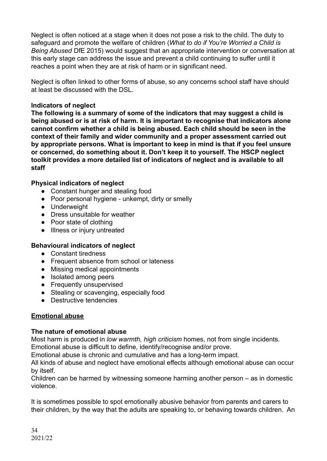Neglect is often noticed at a stage when it does not pose a risk to the child. The duty to safeguard and promote the welfare of children (*What to do if You're Worried a Child is Being Abused* DfE 2015) would suggest that an appropriate intervention or conversation at this early stage can address the issue and prevent a child continuing to suffer until it reaches a point when they are at risk of harm or in significant need.

Neglect is often linked to other forms of abuse, so any concerns school staff have should at least be discussed with the DSL.

#### **Indicators of neglect**

**The following is a summary of some of the indicators that may suggest a child is being abused or is at risk of harm. It is important to recognise that indicators alone cannot confirm whether a child is being abused. Each child should be seen in the context of their family and wider community and a proper assessment carried out by appropriate persons. What is important to keep in mind is that if you feel unsure or concerned, do something about it. Don't keep it to yourself. The HSCP neglect toolkit provides a more detailed list of indicators of neglect and is available to all staff**

#### **Physical indicators of neglect**

- Constant hunger and stealing food
- Poor personal hygiene unkempt, dirty or smelly
- Underweight
- Dress unsuitable for weather
- Poor state of clothing
- Illness or injury untreated

## **Behavioural indicators of neglect**

- Constant tiredness
- Frequent absence from school or lateness
- Missing medical appointments
- Isolated among peers
- Frequently unsupervised
- Stealing or scavenging, especially food
- Destructive tendencies

## **Emotional abuse**

#### **The nature of emotional abuse**

Most harm is produced in *low warmth, high criticism* homes, not from single incidents. Emotional abuse is difficult to define, identify/recognise and/or prove.

Emotional abuse is chronic and cumulative and has a long-term impact.

All kinds of abuse and neglect have emotional effects although emotional abuse can occur by itself.

Children can be harmed by witnessing someone harming another person – as in domestic violence.

It is sometimes possible to spot emotionally abusive behavior from parents and carers to their children, by the way that the adults are speaking to, or behaving towards children. An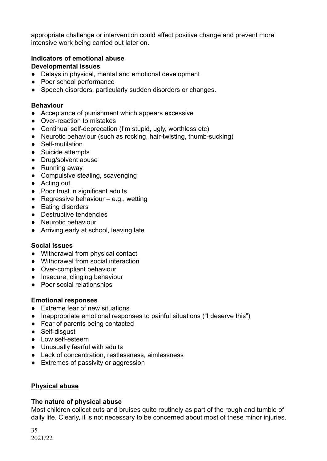appropriate challenge or intervention could affect positive change and prevent more intensive work being carried out later on.

#### **Indicators of emotional abuse Developmental issues**

- Delays in physical, mental and emotional development
- Poor school performance
- Speech disorders, particularly sudden disorders or changes.

#### **Behaviour**

- Acceptance of punishment which appears excessive
- Over-reaction to mistakes
- Continual self-deprecation (I'm stupid, ugly, worthless etc)
- Neurotic behaviour (such as rocking, hair-twisting, thumb-sucking)
- Self-mutilation
- Suicide attempts
- Drug/solvent abuse
- Running away
- Compulsive stealing, scavenging
- Acting out
- Poor trust in significant adults
- Regressive behaviour  $-$  e.g., wetting
- Eating disorders
- Destructive tendencies
- Neurotic behaviour
- Arriving early at school, leaving late

#### **Social issues**

- Withdrawal from physical contact
- Withdrawal from social interaction
- Over-compliant behaviour
- Insecure, clinging behaviour
- Poor social relationships

#### **Emotional responses**

- Extreme fear of new situations
- Inappropriate emotional responses to painful situations ("I deserve this")
- Fear of parents being contacted
- Self-disgust
- Low self-esteem
- Unusually fearful with adults
- Lack of concentration, restlessness, aimlessness
- Extremes of passivity or aggression

#### **Physical abuse**

#### **The nature of physical abuse**

Most children collect cuts and bruises quite routinely as part of the rough and tumble of daily life. Clearly, it is not necessary to be concerned about most of these minor injuries.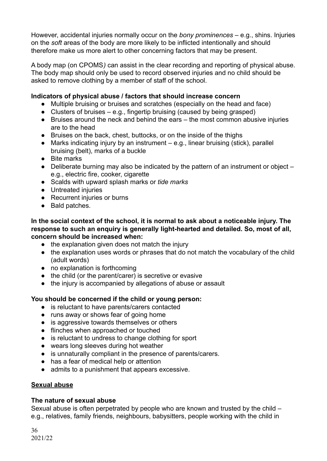However, accidental injuries normally occur on the *bony prominences* – e.g., shins. Injuries on the *soft* areas of the body are more likely to be inflicted intentionally and should therefore make us more alert to other concerning factors that may be present.

A body map (on CPOMS*)* can assist in the clear recording and reporting of physical abuse. The body map should only be used to record observed injuries and no child should be asked to remove clothing by a member of staff of the school.

## **Indicators of physical abuse / factors that should increase concern**

- Multiple bruising or bruises and scratches (especially on the head and face)
- Clusters of bruises  $-$  e.g., fingertip bruising (caused by being grasped)
- Bruises around the neck and behind the ears the most common abusive injuries are to the head
- Bruises on the back, chest, buttocks, or on the inside of the thighs
- $\bullet$  Marks indicating injury by an instrument e.g., linear bruising (stick), parallel bruising (belt), marks of a buckle
- Bite marks
- Deliberate burning may also be indicated by the pattern of an instrument or object e.g., electric fire, cooker, cigarette
- Scalds with upward splash marks or *tide marks*
- Untreated injuries
- Recurrent injuries or burns
- Bald patches.

**In the social context of the school, it is normal to ask about a noticeable injury. The response to such an enquiry is generally light-hearted and detailed. So, most of all, concern should be increased when:**

- the explanation given does not match the injury
- the explanation uses words or phrases that do not match the vocabulary of the child (adult words)
- no explanation is forthcoming
- the child (or the parent/carer) is secretive or evasive
- the injury is accompanied by allegations of abuse or assault

## **You should be concerned if the child or young person:**

- is reluctant to have parents/carers contacted
- runs away or shows fear of going home
- is aggressive towards themselves or others
- flinches when approached or touched
- is reluctant to undress to change clothing for sport
- wears long sleeves during hot weather
- is unnaturally compliant in the presence of parents/carers.
- has a fear of medical help or attention
- admits to a punishment that appears excessive.

## **Sexual abuse**

## **The nature of sexual abuse**

Sexual abuse is often perpetrated by people who are known and trusted by the child – e.g., relatives, family friends, neighbours, babysitters, people working with the child in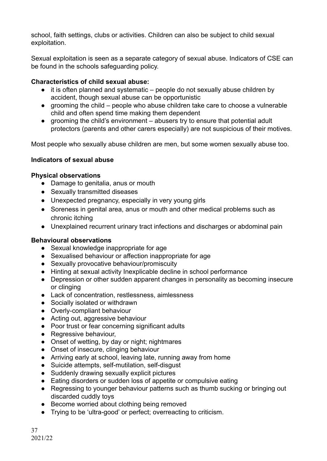school, faith settings, clubs or activities. Children can also be subject to child sexual exploitation.

Sexual exploitation is seen as a separate category of sexual abuse. Indicators of CSE can be found in the schools safeguarding policy.

## **Characteristics of child sexual abuse:**

- it is often planned and systematic people do not sexually abuse children by accident, though sexual abuse can be opportunistic
- grooming the child people who abuse children take care to choose a vulnerable child and often spend time making them dependent
- grooming the child's environment abusers try to ensure that potential adult protectors (parents and other carers especially) are not suspicious of their motives.

Most people who sexually abuse children are men, but some women sexually abuse too.

## **Indicators of sexual abuse**

## **Physical observations**

- Damage to genitalia, anus or mouth
- Sexually transmitted diseases
- Unexpected pregnancy, especially in very young girls
- Soreness in genital area, anus or mouth and other medical problems such as chronic itching
- Unexplained recurrent urinary tract infections and discharges or abdominal pain

## **Behavioural observations**

- Sexual knowledge inappropriate for age
- Sexualised behaviour or affection inappropriate for age
- Sexually provocative behaviour/promiscuity
- Hinting at sexual activity Inexplicable decline in school performance
- Depression or other sudden apparent changes in personality as becoming insecure or clinging
- Lack of concentration, restlessness, aimlessness
- Socially isolated or withdrawn
- Overly-compliant behaviour
- Acting out, aggressive behaviour
- Poor trust or fear concerning significant adults
- Regressive behaviour,
- Onset of wetting, by day or night; nightmares
- Onset of insecure, clinging behaviour
- Arriving early at school, leaving late, running away from home
- Suicide attempts, self-mutilation, self-disgust
- Suddenly drawing sexually explicit pictures
- Eating disorders or sudden loss of appetite or compulsive eating
- Regressing to younger behaviour patterns such as thumb sucking or bringing out discarded cuddly toys
- Become worried about clothing being removed
- Trying to be 'ultra-good' or perfect; overreacting to criticism.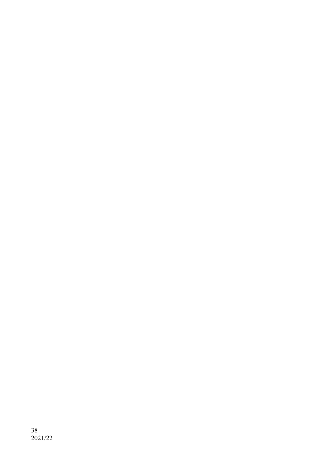38 2021/22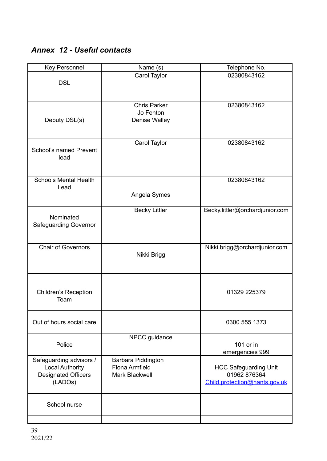<span id="page-38-0"></span>*Annex 12 - Useful contacts*

| <b>Key Personnel</b>                                                                       | Name (s)                                                      | Telephone No.                                                                 |
|--------------------------------------------------------------------------------------------|---------------------------------------------------------------|-------------------------------------------------------------------------------|
| <b>DSL</b>                                                                                 | Carol Taylor                                                  | 02380843162                                                                   |
| Deputy DSL(s)                                                                              | <b>Chris Parker</b><br>Jo Fenton<br>Denise Walley             | 02380843162                                                                   |
| School's named Prevent<br>lead                                                             | Carol Taylor                                                  | 02380843162                                                                   |
| <b>Schools Mental Health</b><br>Lead                                                       | Angela Symes                                                  | 02380843162                                                                   |
| Nominated<br><b>Safeguarding Governor</b>                                                  | <b>Becky Littler</b>                                          | Becky.littler@orchardjunior.com                                               |
| <b>Chair of Governors</b>                                                                  | Nikki Brigg                                                   | Nikki.brigg@orchardjunior.com                                                 |
| <b>Children's Reception</b><br>Team                                                        |                                                               | 01329 225379                                                                  |
| Out of hours social care                                                                   |                                                               | 0300 555 1373                                                                 |
| Police                                                                                     | NPCC guidance                                                 | 101 or in<br>emergencies 999                                                  |
| Safeguarding advisors /<br><b>Local Authority</b><br><b>Designated Officers</b><br>(LADOs) | Barbara Piddington<br>Fiona Armfield<br><b>Mark Blackwell</b> | <b>HCC Safeguarding Unit</b><br>01962 876364<br>Child.protection@hants.gov.uk |
| School nurse                                                                               |                                                               |                                                                               |
|                                                                                            |                                                               |                                                                               |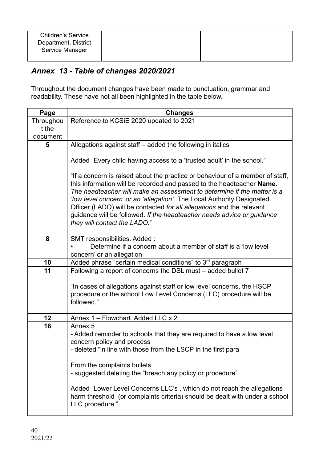| <b>Children's Service</b><br>Department, District<br>Service Manager |  |
|----------------------------------------------------------------------|--|
|                                                                      |  |

## <span id="page-39-0"></span>*Annex 13 - Table of changes 2020/2021*

Throughout the document changes have been made to punctuation, grammar and readability. These have not all been highlighted in the table below.

| Page      | <b>Changes</b>                                                                                                                                                                                                                                                                                                                                                                                                |
|-----------|---------------------------------------------------------------------------------------------------------------------------------------------------------------------------------------------------------------------------------------------------------------------------------------------------------------------------------------------------------------------------------------------------------------|
| Throughou | Reference to KCSiE 2020 updated to 2021                                                                                                                                                                                                                                                                                                                                                                       |
| t the     |                                                                                                                                                                                                                                                                                                                                                                                                               |
| document  |                                                                                                                                                                                                                                                                                                                                                                                                               |
| 5         | Allegations against staff – added the following in italics                                                                                                                                                                                                                                                                                                                                                    |
|           | Added "Every child having access to a 'trusted adult' in the school."<br>"If a concern is raised about the practice or behaviour of a member of staff,                                                                                                                                                                                                                                                        |
|           | this information will be recorded and passed to the headteacher Name.<br>The headteacher will make an assessment to determine if the matter is a<br>'low level concern' or an 'allegation'. The Local Authority Designated<br>Officer (LADO) will be contacted for all allegations and the relevant<br>guidance will be followed. If the headteacher needs advice or guidance<br>they will contact the LADO." |
| 8         | SMT responsibilities. Added:<br>Determine if a concern about a member of staff is a 'low level<br>concern' or an allegation                                                                                                                                                                                                                                                                                   |
| 10        | Added phrase "certain medical conditions" to 3 <sup>rd</sup> paragraph                                                                                                                                                                                                                                                                                                                                        |
| 11        | Following a report of concerns the DSL must – added bullet 7                                                                                                                                                                                                                                                                                                                                                  |
|           | "In cases of allegations against staff or low level concerns, the HSCP<br>procedure or the school Low Level Concerns (LLC) procedure will be<br>followed."                                                                                                                                                                                                                                                    |
| 12        | Annex 1 - Flowchart. Added LLC x 2                                                                                                                                                                                                                                                                                                                                                                            |
| 18        | Annex <sub>5</sub><br>- Added reminder to schools that they are required to have a low level<br>concern policy and process<br>- deleted "in line with those from the LSCP in the first para<br>From the complaints bullets<br>- suggested deleting the "breach any policy or procedure"                                                                                                                       |
|           | Added "Lower Level Concerns LLC's, which do not reach the allegations<br>harm threshold (or complaints criteria) should be dealt with under a school<br>LLC procedure."                                                                                                                                                                                                                                       |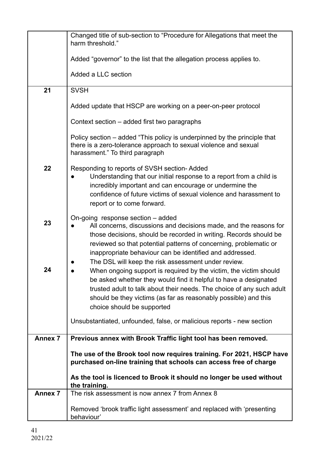|                | Changed title of sub-section to "Procedure for Allegations that meet the<br>harm threshold."                                                                                                                                                                                                                                                                                                                                       |
|----------------|------------------------------------------------------------------------------------------------------------------------------------------------------------------------------------------------------------------------------------------------------------------------------------------------------------------------------------------------------------------------------------------------------------------------------------|
|                | Added "governor" to the list that the allegation process applies to.                                                                                                                                                                                                                                                                                                                                                               |
|                | Added a LLC section                                                                                                                                                                                                                                                                                                                                                                                                                |
| 21             | <b>SVSH</b>                                                                                                                                                                                                                                                                                                                                                                                                                        |
|                | Added update that HSCP are working on a peer-on-peer protocol                                                                                                                                                                                                                                                                                                                                                                      |
|                | Context section - added first two paragraphs                                                                                                                                                                                                                                                                                                                                                                                       |
|                | Policy section – added "This policy is underpinned by the principle that<br>there is a zero-tolerance approach to sexual violence and sexual<br>harassment." To third paragraph                                                                                                                                                                                                                                                    |
| 22             | Responding to reports of SVSH section-Added<br>Understanding that our initial response to a report from a child is<br>$\bullet$<br>incredibly important and can encourage or undermine the<br>confidence of future victims of sexual violence and harassment to<br>report or to come forward.                                                                                                                                      |
| 23             | On-going response section - added<br>All concerns, discussions and decisions made, and the reasons for<br>those decisions, should be recorded in writing. Records should be<br>reviewed so that potential patterns of concerning, problematic or                                                                                                                                                                                   |
| 24             | inappropriate behaviour can be identified and addressed.<br>The DSL will keep the risk assessment under review.<br>When ongoing support is required by the victim, the victim should<br>be asked whether they would find it helpful to have a designated<br>trusted adult to talk about their needs. The choice of any such adult<br>should be they victims (as far as reasonably possible) and this<br>choice should be supported |
|                | Unsubstantiated, unfounded, false, or malicious reports - new section                                                                                                                                                                                                                                                                                                                                                              |
| <b>Annex 7</b> | Previous annex with Brook Traffic light tool has been removed.                                                                                                                                                                                                                                                                                                                                                                     |
|                | The use of the Brook tool now requires training. For 2021, HSCP have<br>purchased on-line training that schools can access free of charge                                                                                                                                                                                                                                                                                          |
|                | As the tool is licenced to Brook it should no longer be used without<br>the training.                                                                                                                                                                                                                                                                                                                                              |
| <b>Annex 7</b> | The risk assessment is now annex 7 from Annex 8                                                                                                                                                                                                                                                                                                                                                                                    |
|                | Removed 'brook traffic light assessment' and replaced with 'presenting<br>behaviour'                                                                                                                                                                                                                                                                                                                                               |